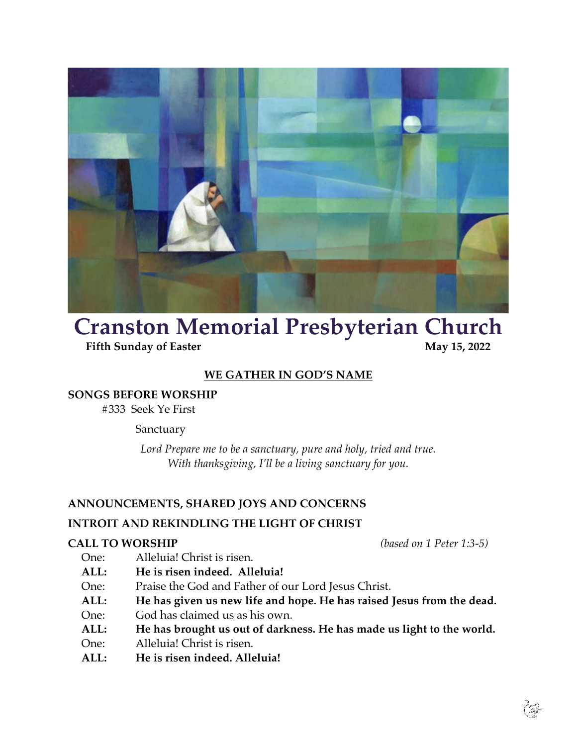

# **Cranston Memorial Presbyterian Church**<br>Fifth Sunday of Easter<br>May 15, 2022

**Fifth Sunday of Easter** 

# **WE GATHER IN GOD'S NAME**

# **SONGS BEFORE WORSHIP**

#333 Seek Ye First

# Sanctuary

*Lord Prepare me to be a sanctuary, pure and holy, tried and true. With thanksgiving, I'll be a living sanctuary for you.*

# **ANNOUNCEMENTS, SHARED JOYS AND CONCERNS**

# **INTROIT AND REKINDLING THE LIGHT OF CHRIST**

# **CALL TO WORSHIP** *(based on 1 Peter 1:3-5)*

- One: Alleluia! Christ is risen.
- **ALL: He is risen indeed. Alleluia!**
- One: Praise the God and Father of our Lord Jesus Christ.
- **ALL: He has given us new life and hope. He has raised Jesus from the dead.**
- One: God has claimed us as his own.
- **ALL: He has brought us out of darkness. He has made us light to the world.**
- One: Alleluia! Christ is risen.
- **ALL: He is risen indeed. Alleluia!**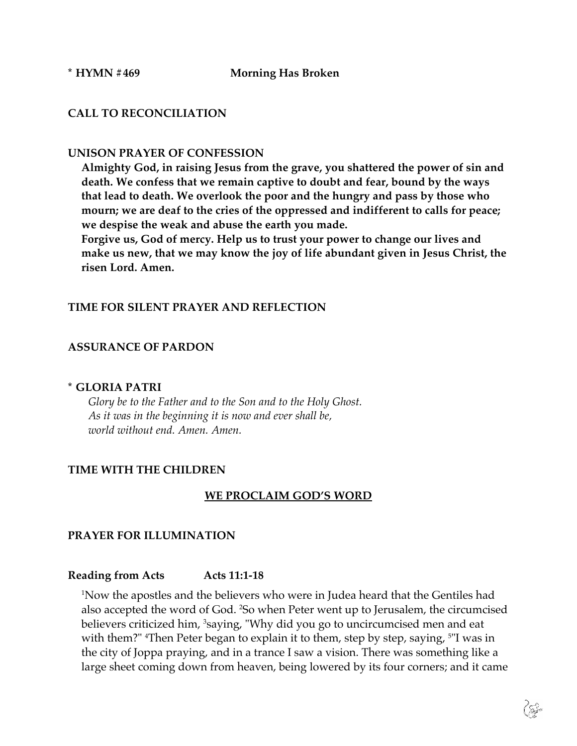## **\* HYMN #469 Morning Has Broken**

# **CALL TO RECONCILIATION**

## **UNISON PRAYER OF CONFESSION**

**Almighty God, in raising Jesus from the grave, you shattered the power of sin and death. We confess that we remain captive to doubt and fear, bound by the ways that lead to death. We overlook the poor and the hungry and pass by those who mourn; we are deaf to the cries of the oppressed and indifferent to calls for peace; we despise the weak and abuse the earth you made.**

**Forgive us, God of mercy. Help us to trust your power to change our lives and make us new, that we may know the joy of life abundant given in Jesus Christ, the risen Lord. Amen.**

# **TIME FOR SILENT PRAYER AND REFLECTION**

# **ASSURANCE OF PARDON**

#### **\* GLORIA PATRI**

*Glory be to the Father and to the Son and to the Holy Ghost. As it was in the beginning it is now and ever shall be, world without end. Amen. Amen.*

#### **TIME WITH THE CHILDREN**

#### **WE PROCLAIM GOD'S WORD**

#### **PRAYER FOR ILLUMINATION**

#### **Reading from Acts Acts 11:1-18**

1 Now the apostles and the believers who were in Judea heard that the Gentiles had also accepted the word of God. 2 So when Peter went up to Jerusalem, the circumcised believers criticized him, <sup>3</sup>saying, "Why did you go to uncircumcised men and eat with them?" <sup>4</sup>Then Peter began to explain it to them, step by step, saying, <sup>5</sup>"I was in the city of Joppa praying, and in a trance I saw a vision. There was something like a large sheet coming down from heaven, being lowered by its four corners; and it came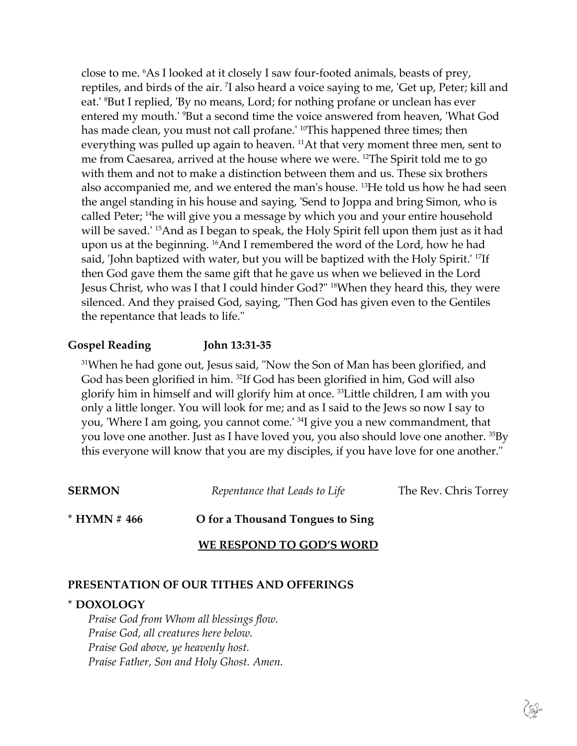close to me. 6 As I looked at it closely I saw four-footed animals, beasts of prey, reptiles, and birds of the air. 7 I also heard a voice saying to me, 'Get up, Peter; kill and eat.' 8 But I replied, 'By no means, Lord; for nothing profane or unclean has ever entered my mouth.' 9 But a second time the voice answered from heaven, 'What God has made clean, you must not call profane.' <sup>10</sup>This happened three times; then everything was pulled up again to heaven. 11At that very moment three men, sent to me from Caesarea, arrived at the house where we were. 12The Spirit told me to go with them and not to make a distinction between them and us. These six brothers also accompanied me, and we entered the man's house. 13He told us how he had seen the angel standing in his house and saying, 'Send to Joppa and bring Simon, who is called Peter; 14he will give you a message by which you and your entire household will be saved.<sup>' 15</sup>And as I began to speak, the Holy Spirit fell upon them just as it had upon us at the beginning. 16And I remembered the word of the Lord, how he had said, 'John baptized with water, but you will be baptized with the Holy Spirit.' 17If then God gave them the same gift that he gave us when we believed in the Lord Jesus Christ, who was I that I could hinder God?" 18When they heard this, they were silenced. And they praised God, saying, "Then God has given even to the Gentiles the repentance that leads to life."

# **Gospel Reading John 13:31-35**

<sup>31</sup>When he had gone out, Jesus said, "Now the Son of Man has been glorified, and God has been glorified in him. 32If God has been glorified in him, God will also glorify him in himself and will glorify him at once. 33Little children, I am with you only a little longer. You will look for me; and as I said to the Jews so now I say to you, 'Where I am going, you cannot come.' 34I give you a new commandment, that you love one another. Just as I have loved you, you also should love one another. 35By this everyone will know that you are my disciples, if you have love for one another."

| <b>SERMON</b>  | Repentance that Leads to Life    | The Rev. Chris Torrey |
|----------------|----------------------------------|-----------------------|
| $*$ HYMN # 466 | O for a Thousand Tongues to Sing |                       |
|                | WE RESPOND TO GOD'S WORD         |                       |

## **PRESENTATION OF OUR TITHES AND OFFERINGS**

## **\* DOXOLOGY**

*Praise God from Whom all blessings flow. Praise God, all creatures here below. Praise God above, ye heavenly host. Praise Father, Son and Holy Ghost. Amen.*